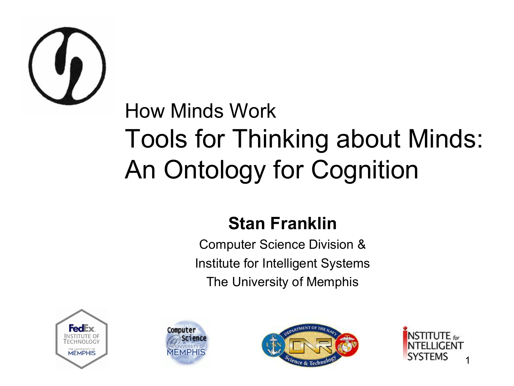

#### How Minds Work Tools for Thinking about Minds: An Ontology for Cognition

#### **Stan Franklin**

Computer Science Division & Institute for Intelligent Systems The University of Memphis







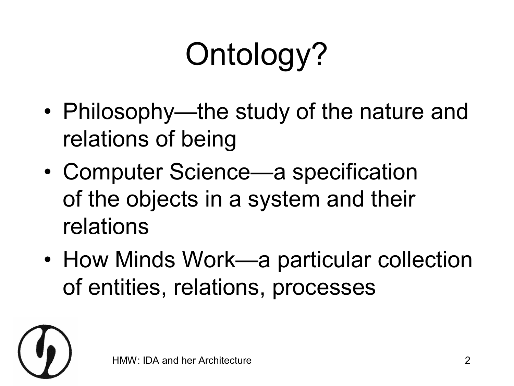# Ontology?

- Philosophy—the study of the nature and relations of being
- Computer Science—a specification of the objects in a system and their relations
- How Minds Work—a particular collection of entities, relations, processes

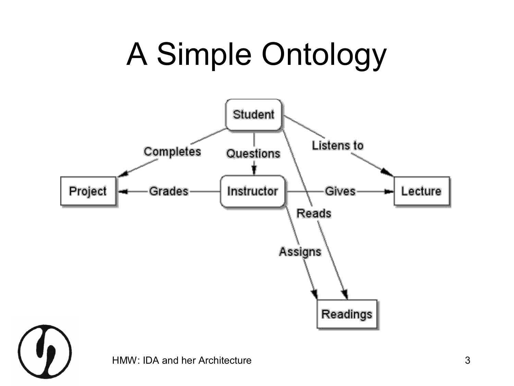# A Simple Ontology



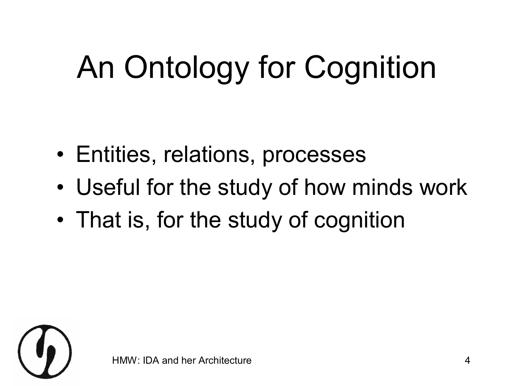# An Ontology for Cognition

- Entities, relations, processes
- Useful for the study of how minds work
- That is, for the study of cognition

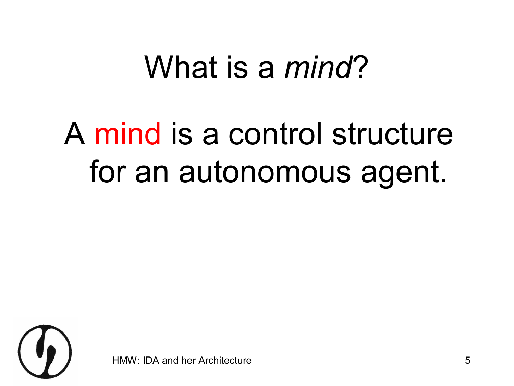#### What is a *mind*?

#### A mind is a control structure for an autonomous agent.



IDA and her Architecture 5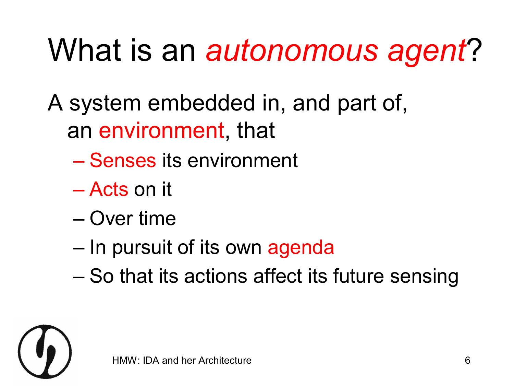# What is an *autonomous agent*?

A system embedded in, and part of, an environment, that

- Senses its environment
- Acts on it
- Over time
- In pursuit of its own agenda
- So that its actions affect its future sensing

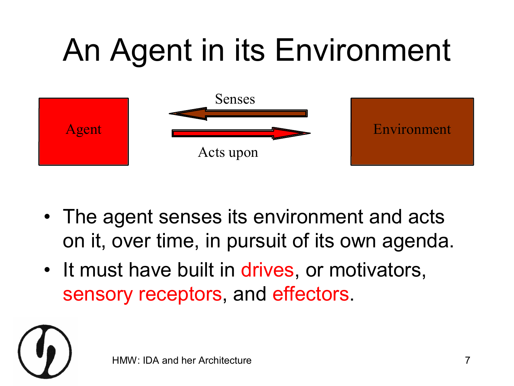# An Agent in its Environment



- The agent senses its environment and acts on it, over time, in pursuit of its own agenda.
- It must have built in drives, or motivators, sensory receptors, and effectors.

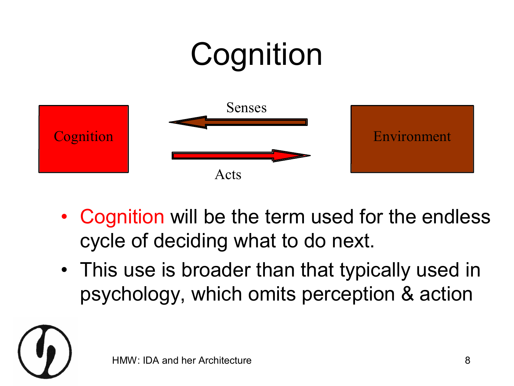# **Cognition** Cognition Environment Senses Acts

- Cognition will be the term used for the endless cycle of deciding what to do next.
- This use is broader than that typically used in psychology, which omits perception & action

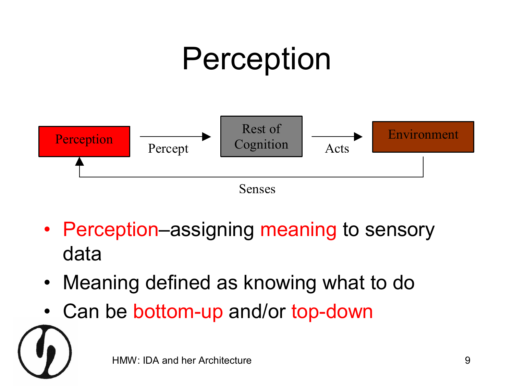

- Perception–assigning meaning to sensory data
- Meaning defined as knowing what to do
- Can be bottom-up and/or top-down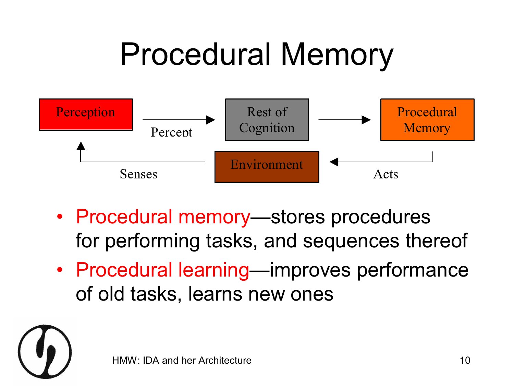#### Procedural Memory



- Procedural memory—stores procedures for performing tasks, and sequences thereof
- Procedural learning—improves performance of old tasks, learns new ones

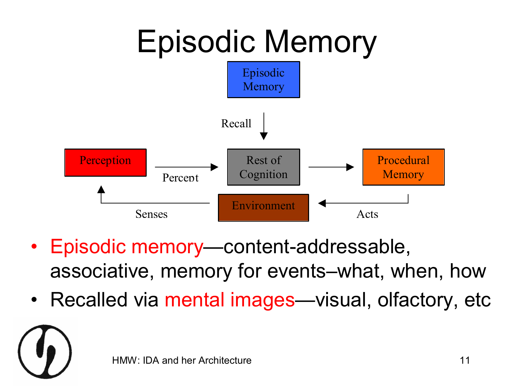

- Episodic memory—content-addressable, associative, memory for events–what, when, how
- Recalled via mental images—visual, olfactory, etc

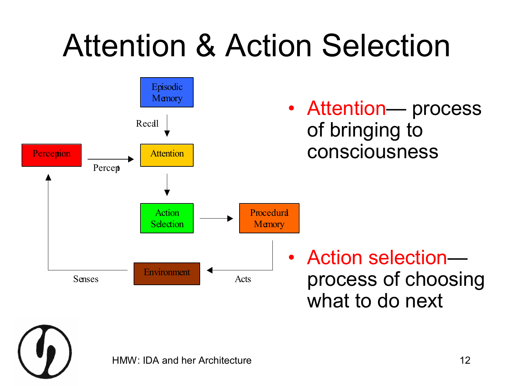# Attention & Action Selection



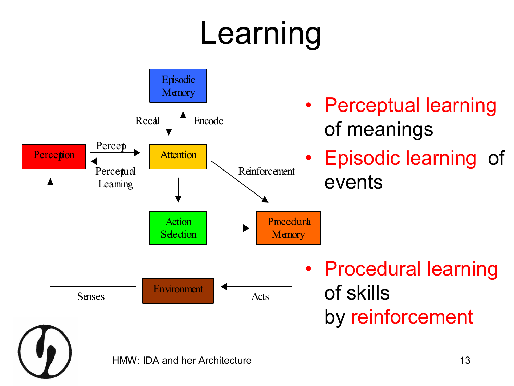# Learning

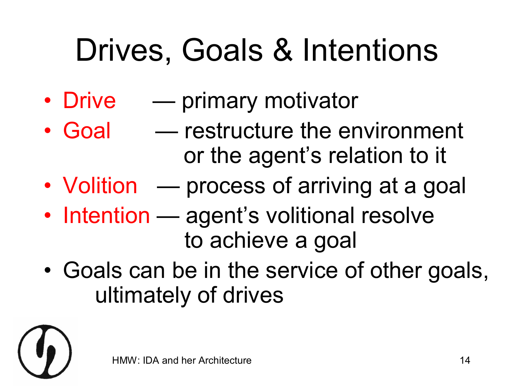# Drives, Goals & Intentions

- Drive primary motivator
- Goal restructure the environment or the agent's relation to it
- Volition process of arriving at a goal
- Intention agent's volitional resolve to achieve a goal
- Goals can be in the service of other goals, ultimately of drives

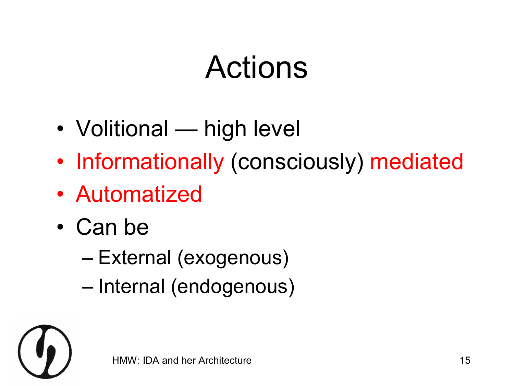#### Actions

- Volitional high level
- Informationally (consciously) mediated
- Automatized
- Can be
	- External (exogenous)
	- Internal (endogenous)

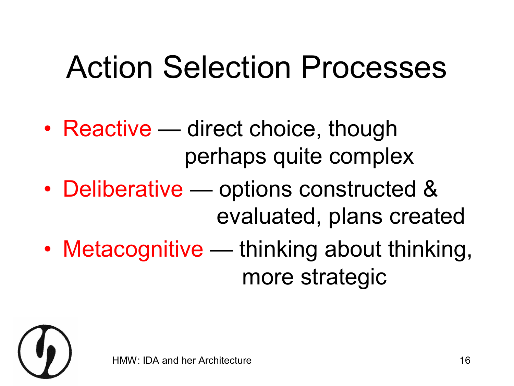#### Action Selection Processes

- Reactive direct choice, though perhaps quite complex
- Deliberative options constructed & evaluated, plans created
- Metacognitive thinking about thinking, more strategic

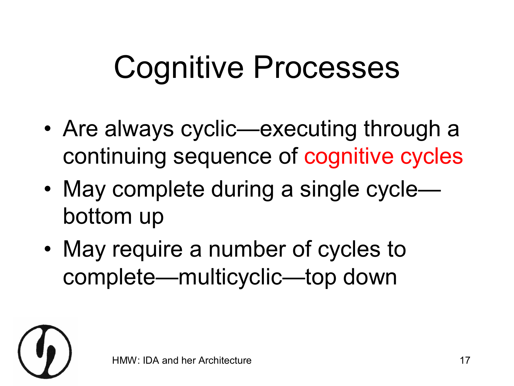# Cognitive Processes

- Are always cyclic—executing through a continuing sequence of cognitive cycles
- May complete during a single cycle bottom up
- May require a number of cycles to complete—multicyclic—top down

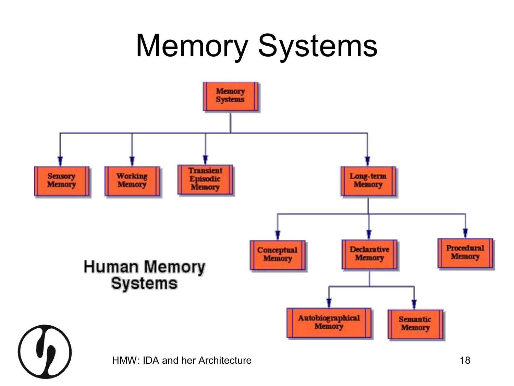# Memory Systems

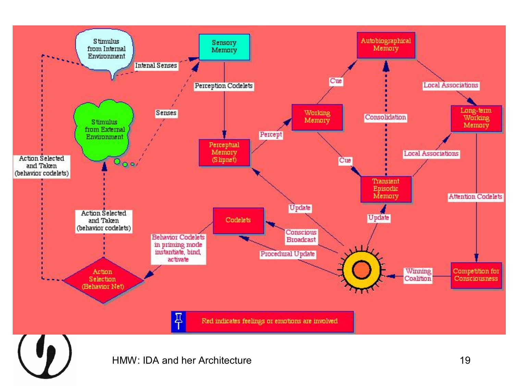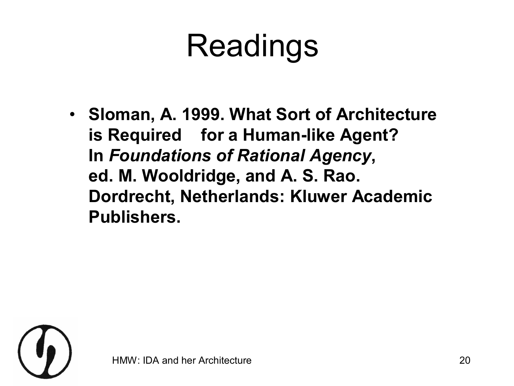## Readings

• **Sloman, A. 1999. What Sort of Architecture is Required for a Human-like Agent? In** *Foundations of Rational Agency***, ed. M. Wooldridge, and A. S. Rao. Dordrecht, Netherlands: Kluwer Academic Publishers.**